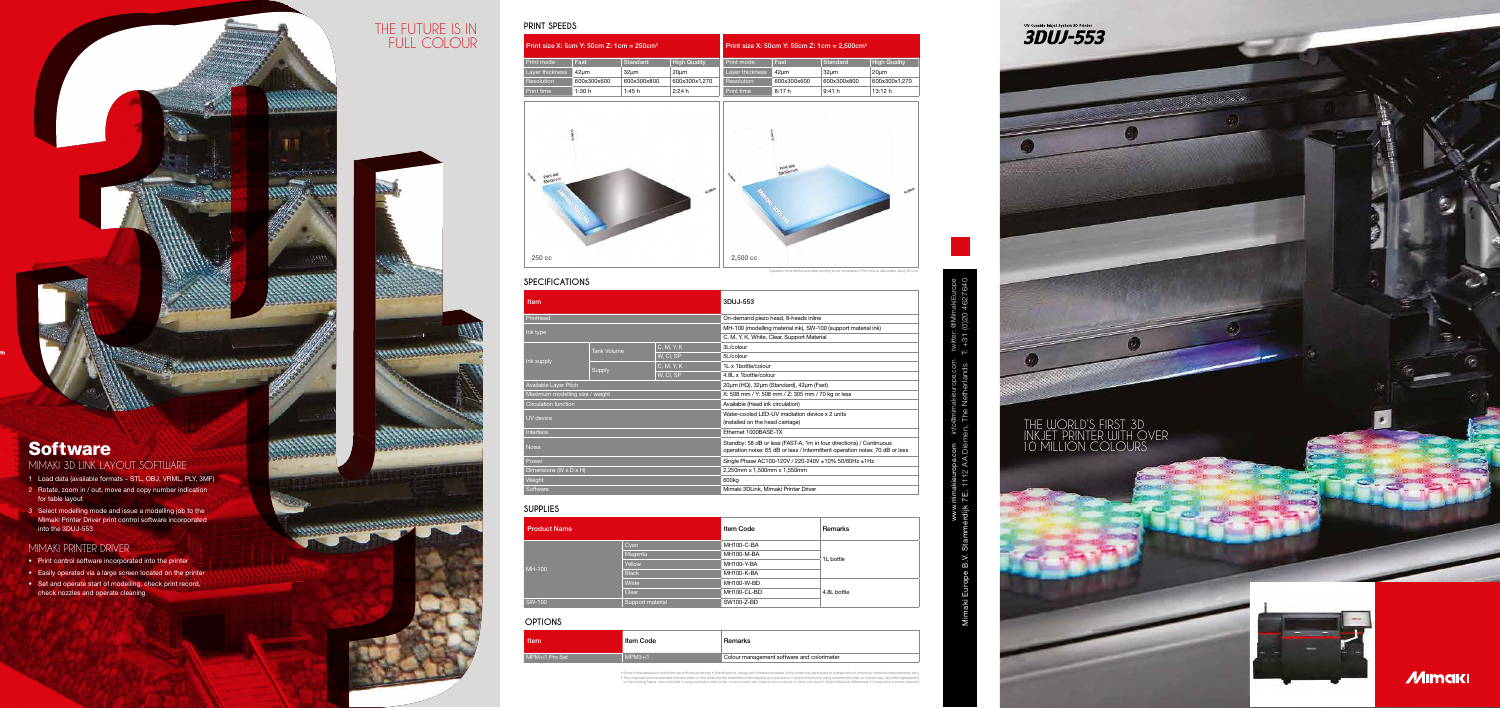**REVIEWED BEGINNING** 

## **Software**

### **MIMAKI 3D LINK LAYOUT SOFTWARE**

| <b>Item</b>                     |                    |            | 3DUJ-553                                                                                                                                            |  |
|---------------------------------|--------------------|------------|-----------------------------------------------------------------------------------------------------------------------------------------------------|--|
| Printhead                       |                    |            | On-demand piezo head, 8-heads inline                                                                                                                |  |
| Ink type                        |                    |            | MH-100 (modelling material ink), SW-100 (support material ink)                                                                                      |  |
|                                 |                    |            | C, M, Y, K, White, Clear, Support Material                                                                                                          |  |
|                                 | <b>Tank Volume</b> | C, M, Y, K | 3L/colour                                                                                                                                           |  |
|                                 |                    | W, CI, SP  | 5L/colour                                                                                                                                           |  |
| Ink supply                      |                    | C, M, Y, K | 1L x 1bottle/colour                                                                                                                                 |  |
|                                 | Supply             | W, Cl, SP  | 4.8L x 1bottle/colour                                                                                                                               |  |
| <b>Available Layer Pitch</b>    |                    |            | 20um (HQ), 32um (Standard), 42um (Fast)                                                                                                             |  |
| Maximum modelling size / weight |                    |            | X: 508 mm / Y: 508 mm / Z: 305 mm / 70 kg or less                                                                                                   |  |
| <b>Circulation function</b>     |                    |            | Available (Head ink circulation)                                                                                                                    |  |
| UV device                       |                    |            | Water-cooled LED-UV irradiation device x 2 units<br>(installed on the head carriage)                                                                |  |
| Interface                       |                    |            | Ethernet 1000BASE-TX                                                                                                                                |  |
| <b>Noise</b>                    |                    |            | Standby: 58 dB or less (FAST-A, 1m in four directions) / Continuous<br>operation noise: 65 dB or less / Intermittent operation noise: 70 dB or less |  |
| Power                           |                    |            | Single Phase AC100-120V / 220-240V ±10% 50/60Hz ±1Hz                                                                                                |  |
| Dimensions (W x D x H)          |                    |            | 2,250mm x 1,500mm x 1,550mm                                                                                                                         |  |
| Weight                          |                    |            | 600 <sub>kg</sub>                                                                                                                                   |  |
| Software                        |                    |            | Mimaki 3DLink, Mimaki Printer Driver                                                                                                                |  |
| SUPPLIES                        |                    |            |                                                                                                                                                     |  |
|                                 |                    |            |                                                                                                                                                     |  |



#### **SPECIFICATIONS**

| <b>Product Name</b> |                  | Item Code   | Remarks     |  |
|---------------------|------------------|-------------|-------------|--|
|                     | Cyan             | MH100-C-BA  | 1L bottle   |  |
|                     | Magenta          | MH100-M-BA  |             |  |
|                     | Yellow           | MH100-Y-BA  |             |  |
| MH-100              | <b>Black</b>     | MH100-K-BA  |             |  |
|                     | White            | MH100-W-BD  |             |  |
|                     | Clear            | MH100-CL-BD | 4.8L bottle |  |
| <b>SW-100</b>       | Support material | SW100-Z-BD  |             |  |

• Some of the samples in this folder are artificial renderings • Specifications, design and dimensions stated in this folder may be subject to change without notice (for technical improvements, etc.) . The corporate and merchandise names written on this folder are the trademark of the respective corporations - Inkiet printers print using extreme fine dots, so colours may vary affer replacement of the printing heads,

#### size X: 50cm Y: 50cm Z: 1cm =  $2,500$ cm<sup>3</sup>

| Item           | Item Code | Remarks     |
|----------------|-----------|-------------|
| MPM+i1 Pro Set | $MPM3+i1$ | Colour mana |

#### **OPTIONS**

- 1 Load data (available formats STL, OBJ, VRML, PLY, 3MF)
- 2 Rotate, zoom in / out, move and copy number indication for table layout
- 3 Select modelling mode and issue a modelling job to the Mimaki Printer Driver print control software incorporated into the 3DUJ-553

### MIMAKI PRINTER DRIVER

- Print control software incorporated into the printer
- Easily operated via a large screen located on the printer • Set and operate start of modelling, check print record, check nozzles and operate cleaning

| Print size X: 5cm Y: 50cm Z: 1cm = $250cm3$ |             |                  |                     | Print |
|---------------------------------------------|-------------|------------------|---------------------|-------|
| Print mode                                  | Fast        | <b>Standard</b>  | <b>High Quality</b> | Print |
| Layer thickness                             | 42um        | 32 <sub>µm</sub> | $20 \mu m$          | Layer |
| <b>Resolution</b>                           | 600x300x600 | 600x300x800      | 600x300x1.270       | Reso  |
| Print time                                  | 1:30h       | 1:45h            | 2:24h               | Print |

| Print mode      | Fast        | Standard    | <b>High Quality</b> |
|-----------------|-------------|-------------|---------------------|
| Layer thickness | 42um        | 32um        | 20um                |
| Resolution      | 600x300x600 | 600x300x800 | 600x300x1.270       |
| Print time      | 8:17h       | 9:41 h      | 13:12 h             |

### **PRINT SPEEDS** THE FUTURE IS IN FULL COLOUR

56656820

**Handers Charles Co** 

Operation time before and after printing is not considered. Print time is calculated using 3D Link.

| ì         | Remarks     |
|-----------|-------------|
| šА        |             |
| ЗA        | 1L bottle   |
| Α         |             |
| ١A        |             |
| ЗD        |             |
| <b>BD</b> | 4.8L bottle |
| D         |             |
|           |             |

gement software and colorimeter